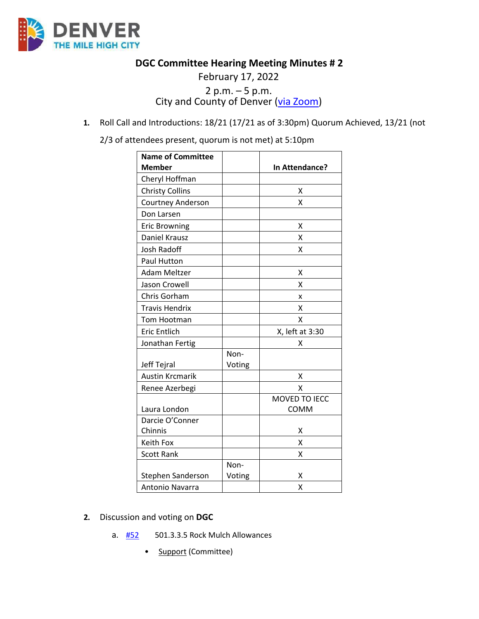

## **DGC Committee Hearing Meeting Minutes # 2**

# February 17, 2022 2 p.m.  $-5$  p.m.<br>City and County of Denver ( $via Zoom$ )</u>

**1.** Roll Call and Introductions: 18/21 (17/21 as of 3:30pm) Quorum Achieved, 13/21 (not

2/3 of attendees present, quorum is not met) at 5:10pm

| <b>Name of Committee</b> |        |                 |
|--------------------------|--------|-----------------|
| <b>Member</b>            |        | In Attendance?  |
| Cheryl Hoffman           |        |                 |
| <b>Christy Collins</b>   |        | х               |
| <b>Courtney Anderson</b> |        | x               |
| Don Larsen               |        |                 |
| <b>Eric Browning</b>     |        | X               |
| Daniel Krausz            |        | x               |
| <b>Josh Radoff</b>       |        | X               |
| Paul Hutton              |        |                 |
| <b>Adam Meltzer</b>      |        | X               |
| Jason Crowell            |        | x               |
| Chris Gorham             |        | X               |
| <b>Travis Hendrix</b>    |        | X               |
| Tom Hootman              |        | Χ               |
| <b>Eric Entlich</b>      |        | X, left at 3:30 |
| Jonathan Fertig          |        | x               |
|                          | Non-   |                 |
| Jeff Tejral              | Voting |                 |
| <b>Austin Krcmarik</b>   |        | х               |
| Renee Azerbegi           |        | Χ               |
|                          |        | MOVED TO IECC   |
| Laura London             |        | COMM            |
| Darcie O'Conner          |        |                 |
| Chinnis                  |        | х               |
| Keith Fox                |        | X               |
| <b>Scott Rank</b>        |        | X               |
|                          | Non-   |                 |
| Stephen Sanderson        | Voting | х               |
| Antonio Navarra          |        | X               |

- **2.** Discussion and voting on **DGC**
	- a.  $\frac{H52}{H52}$  501.3.3.5 Rock Mulch Allowances
		- **Support (Committee)**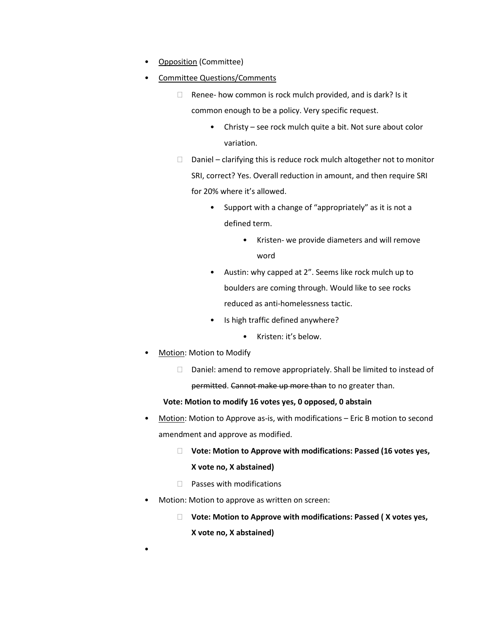- **Opposition (Committee)**
- Committee Questions/Comments
	- $\Box$  Renee- how common is rock mulch provided, and is dark? Is it common enough to be a policy. Very specific request.
		- Christy see rock mulch quite a bit. Not sure about color variation.
	- $\Box$  Daniel clarifying this is reduce rock mulch altogether not to monitor SRI, correct? Yes. Overall reduction in amount, and then require SRI for 20% where it's allowed.
		- Support with a change of "appropriately" as it is not a defined term.
			- Kristen- we provide diameters and will remove word
		- Austin: why capped at 2". Seems like rock mulch up to boulders are coming through. Would like to see rocks reduced as anti-homelessness tactic.
		- Is high traffic defined anywhere?
			- Kristen: it's below.
- Motion: Motion to Modify

•

 $\Box$  Daniel: amend to remove appropriately. Shall be limited to instead of permitted. Cannot make up more than to no greater than.

### **Vote: Motion to modify 16 votes yes, 0 opposed, 0 abstain**

- Motion: Motion to Approve as-is, with modifications Eric B motion to second amendment and approve as modified.
	- **Vote: Motion to Approve with modifications: Passed (16 votes yes, X vote no, X abstained)**
	- $\Box$  Passes with modifications
- Motion: Motion to approve as written on screen:
	- **Vote: Motion to Approve with modifications: Passed ( X votes yes, X vote no, X abstained)**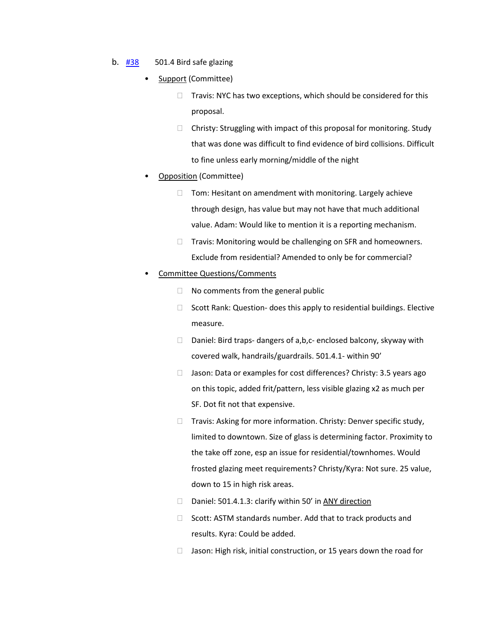- b. [#38](https://www.denvergov.org/files/assets/public/community-planning-and-development/documents/ds/building-codes/code-adoption/amendment-proposals/dgc/dgc_501.4.pdf) 501.4 Bird safe glazing
	- Support (Committee)
		- $\Box$  Travis: NYC has two exceptions, which should be considered for this proposal.
		- $\Box$  Christy: Struggling with impact of this proposal for monitoring. Study that was done was difficult to find evidence of bird collisions. Difficult to fine unless early morning/middle of the night
	- Opposition (Committee)
		- $\Box$  Tom: Hesitant on amendment with monitoring. Largely achieve through design, has value but may not have that much additional value. Adam: Would like to mention it is a reporting mechanism.
		- $\Box$  Travis: Monitoring would be challenging on SFR and homeowners. Exclude from residential? Amended to only be for commercial?

#### • Committee Questions/Comments

- $\Box$  No comments from the general public
- $\Box$  Scott Rank: Question- does this apply to residential buildings. Elective measure.
- $\Box$  Daniel: Bird traps- dangers of a,b,c- enclosed balcony, skyway with covered walk, handrails/guardrails. 501.4.1- within 90'
- $\Box$  Jason: Data or examples for cost differences? Christy: 3.5 years ago on this topic, added frit/pattern, less visible glazing x2 as much per SF. Dot fit not that expensive.
- $\Box$  Travis: Asking for more information. Christy: Denver specific study, limited to downtown. Size of glass is determining factor. Proximity to the take off zone, esp an issue for residential/townhomes. Would frosted glazing meet requirements? Christy/Kyra: Not sure. 25 value, down to 15 in high risk areas.
- D Daniel: 501.4.1.3: clarify within 50' in ANY direction
- $\Box$  Scott: ASTM standards number. Add that to track products and results. Kyra: Could be added.
- $\Box$  Jason: High risk, initial construction, or 15 years down the road for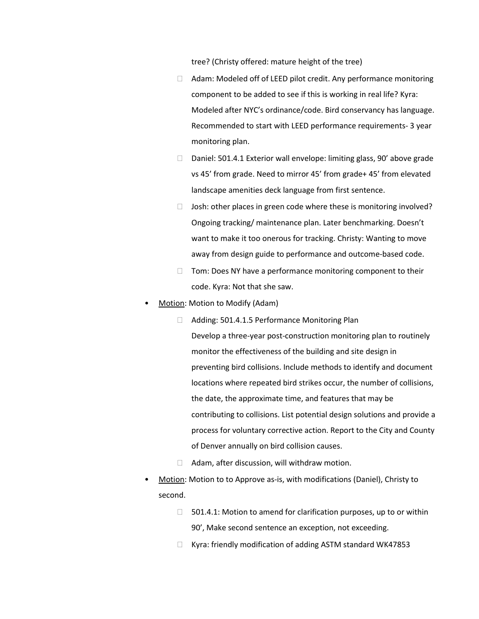tree? (Christy offered: mature height of the tree)

- $\Box$  Adam: Modeled off of LEED pilot credit. Any performance monitoring component to be added to see if this is working in real life? Kyra: Modeled after NYC's ordinance/code. Bird conservancy has language. Recommended to start with LEED performance requirements- 3 year monitoring plan.
- □ Daniel: 501.4.1 Exterior wall envelope: limiting glass, 90' above grade vs 45' from grade. Need to mirror 45' from grade+ 45' from elevated landscape amenities deck language from first sentence.
- $\Box$  Josh: other places in green code where these is monitoring involved? Ongoing tracking/ maintenance plan. Later benchmarking. Doesn't want to make it too onerous for tracking. Christy: Wanting to move away from design guide to performance and outcome-based code.
- $\Box$  Tom: Does NY have a performance monitoring component to their code. Kyra: Not that she saw.
- Motion: Motion to Modify (Adam)
	- □ Adding: 501.4.1.5 Performance Monitoring Plan Develop a three-year post-construction monitoring plan to routinely monitor the effectiveness of the building and site design in preventing bird collisions. Include methods to identify and document locations where repeated bird strikes occur, the number of collisions, the date, the approximate time, and features that may be contributing to collisions. List potential design solutions and provide a process for voluntary corrective action. Report to the City and County of Denver annually on bird collision causes.
	- $\Box$  Adam, after discussion, will withdraw motion.
- Motion: Motion to to Approve as-is, with modifications (Daniel), Christy to second.
	- $\Box$  501.4.1: Motion to amend for clarification purposes, up to or within 90', Make second sentence an exception, not exceeding.
	- $\Box$  Kyra: friendly modification of adding ASTM standard WK47853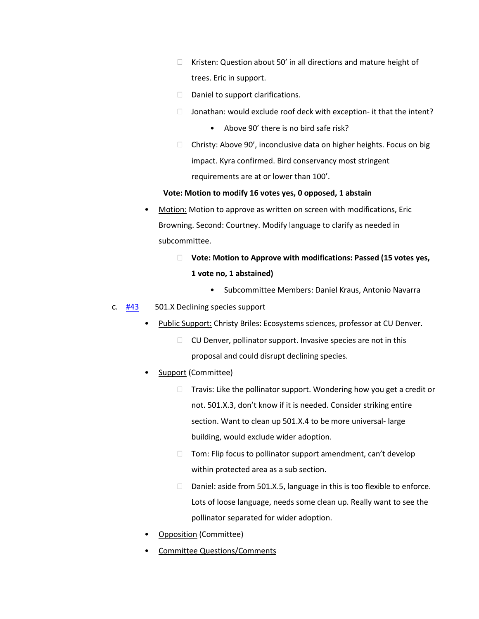- $\Box$  Kristen: Question about 50' in all directions and mature height of trees. Eric in support.
- $\Box$  Daniel to support clarifications.
- $\Box$  Jonathan: would exclude roof deck with exception- it that the intent?
	- Above 90' there is no bird safe risk?
- $\Box$  Christy: Above 90', inconclusive data on higher heights. Focus on big impact. Kyra confirmed. Bird conservancy most stringent requirements are at or lower than 100'.

#### **Vote: Motion to modify 16 votes yes, 0 opposed, 1 abstain**

- Motion: Motion to approve as written on screen with modifications, Eric Browning. Second: Courtney. Modify language to clarify as needed in subcommittee.
	- **Vote: Motion to Approve with modifications: Passed (15 votes yes, 1 vote no, 1 abstained)**
		- Subcommittee Members: Daniel Kraus, Antonio Navarra
- c. [#43](https://www.denvergov.org/files/assets/public/community-planning-and-development/documents/ds/building-codes/code-adoption/amendment-proposals/dgc/dgc_chap5_declining-species.pdf) 501.X Declining species support
	- Public Support: Christy Briles: Ecosystems sciences, professor at CU Denver.
		- $\Box$  CU Denver, pollinator support. Invasive species are not in this proposal and could disrupt declining species.
	- Support (Committee)
		- $\Box$  Travis: Like the pollinator support. Wondering how you get a credit or not. 501.X.3, don't know if it is needed. Consider striking entire section. Want to clean up 501.X.4 to be more universal- large building, would exclude wider adoption.
		- $\Box$  Tom: Flip focus to pollinator support amendment, can't develop within protected area as a sub section.
		- □ Daniel: aside from 501.X.5, language in this is too flexible to enforce. Lots of loose language, needs some clean up. Really want to see the pollinator separated for wider adoption.
	- Opposition (Committee)
	- Committee Questions/Comments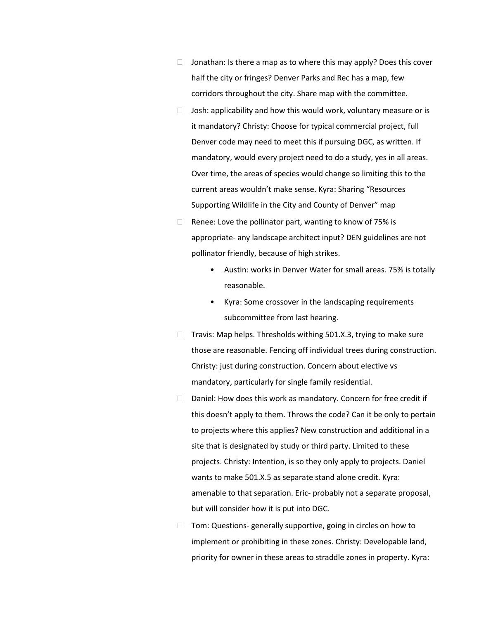- $\Box$  Jonathan: Is there a map as to where this may apply? Does this cover half the city or fringes? Denver Parks and Rec has a map, few corridors throughout the city. Share map with the committee.
- $\Box$  Josh: applicability and how this would work, voluntary measure or is it mandatory? Christy: Choose for typical commercial project, full Denver code may need to meet this if pursuing DGC, as written. If mandatory, would every project need to do a study, yes in all areas. Over time, the areas of species would change so limiting this to the current areas wouldn't make sense. Kyra: Sharing "Resources Supporting Wildlife in the City and County of Denver" map
- $\Box$  Renee: Love the pollinator part, wanting to know of 75% is appropriate- any landscape architect input? DEN guidelines are not pollinator friendly, because of high strikes.
	- Austin: works in Denver Water for small areas. 75% is totally reasonable.
	- Kyra: Some crossover in the landscaping requirements subcommittee from last hearing.
- $\Box$  Travis: Map helps. Thresholds withing 501.X.3, trying to make sure those are reasonable. Fencing off individual trees during construction. Christy: just during construction. Concern about elective vs mandatory, particularly for single family residential.
- $\Box$  Daniel: How does this work as mandatory. Concern for free credit if this doesn't apply to them. Throws the code? Can it be only to pertain to projects where this applies? New construction and additional in a site that is designated by study or third party. Limited to these projects. Christy: Intention, is so they only apply to projects. Daniel wants to make 501.X.5 as separate stand alone credit. Kyra: amenable to that separation. Eric- probably not a separate proposal, but will consider how it is put into DGC.
- Tom: Questions- generally supportive, going in circles on how to implement or prohibiting in these zones. Christy: Developable land, priority for owner in these areas to straddle zones in property. Kyra: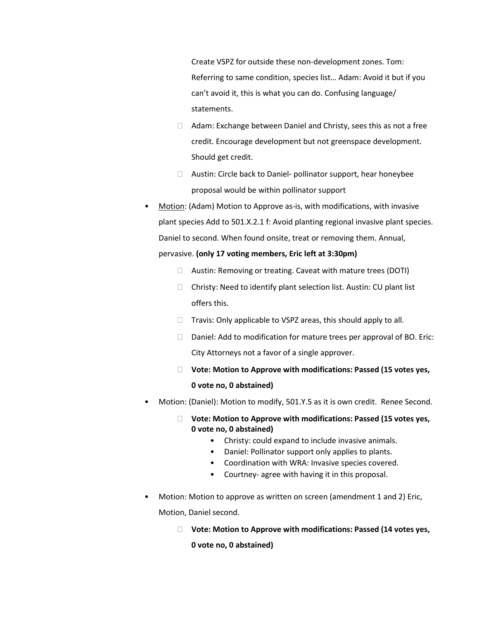Create VSPZ for outside these non-development zones. Tom: Referring to same condition, species list… Adam: Avoid it but if you can't avoid it, this is what you can do. Confusing language/ statements.

- $\Box$  Adam: Exchange between Daniel and Christy, sees this as not a free credit. Encourage development but not greenspace development. Should get credit.
- Austin: Circle back to Daniel- pollinator support, hear honeybee proposal would be within pollinator support
- Motion: (Adam) Motion to Approve as-is, with modifications, with invasive plant species Add to 501.X.2.1 f: Avoid planting regional invasive plant species. Daniel to second. When found onsite, treat or removing them. Annual, pervasive. **(only 17 voting members, Eric left at 3:30pm)**
	- Austin: Removing or treating. Caveat with mature trees (DOTI)
	- $\Box$  Christy: Need to identify plant selection list. Austin: CU plant list offers this.
	- $\Box$  Travis: Only applicable to VSPZ areas, this should apply to all.
	- $\Box$  Daniel: Add to modification for mature trees per approval of BO. Eric: City Attorneys not a favor of a single approver.
	- **Vote: Motion to Approve with modifications: Passed (15 votes yes, 0 vote no, 0 abstained)**
- Motion: (Daniel): Motion to modify, 501.Y.5 as it is own credit. Renee Second.
	- **Vote: Motion to Approve with modifications: Passed (15 votes yes, 0 vote no, 0 abstained)** 
		- Christy: could expand to include invasive animals.
		- Daniel: Pollinator support only applies to plants.
		- Coordination with WRA: Invasive species covered.
		- Courtney- agree with having it in this proposal.
- Motion: Motion to approve as written on screen (amendment 1 and 2) Eric, Motion, Daniel second.
	- **Vote: Motion to Approve with modifications: Passed (14 votes yes,**

**0 vote no, 0 abstained)**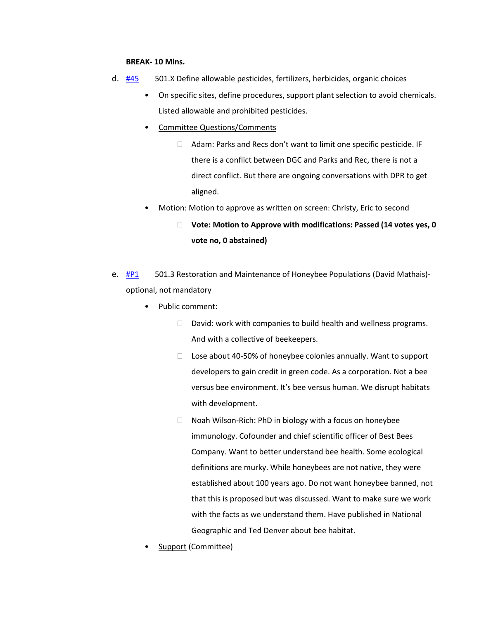#### **BREAK- 10 Mins.**

- d. [#45](https://www.denvergov.org/files/assets/public/community-planning-and-development/documents/ds/building-codes/code-adoption/amendment-proposals/dgc/dgc_chap5_ext-applied-chemical-mgmt.pdf) 501.X Define allowable pesticides, fertilizers, herbicides, organic choices
	- On specific sites, define procedures, support plant selection to avoid chemicals. Listed allowable and prohibited pesticides.
	- Committee Questions/Comments
		- $\Box$  Adam: Parks and Recs don't want to limit one specific pesticide. IF there is a conflict between DGC and Parks and Rec, there is not a direct conflict. But there are ongoing conversations with DPR to get aligned.
	- Motion: Motion to approve as written on screen: Christy, Eric to second
		- **Vote: Motion to Approve with modifications: Passed (14 votes yes, 0 vote no, 0 abstained)**
- e.  $\frac{\text{HP1}}{\text{HP1}}$  501.3 Restoration and Maintenance of Honeybee Populations (David Mathais)optional, not mandatory
	- Public comment:
		- $\Box$  David: work with companies to build health and wellness programs. And with a collective of beekeepers.
		- $\Box$  Lose about 40-50% of honeybee colonies annually. Want to support developers to gain credit in green code. As a corporation. Not a bee versus bee environment. It's bee versus human. We disrupt habitats with development.
		- $\Box$  Noah Wilson-Rich: PhD in biology with a focus on honeybee immunology. Cofounder and chief scientific officer of Best Bees Company. Want to better understand bee health. Some ecological definitions are murky. While honeybees are not native, they were established about 100 years ago. Do not want honeybee banned, not that this is proposed but was discussed. Want to make sure we work with the facts as we understand them. Have published in National Geographic and Ted Denver about bee habitat.
	- Support (Committee)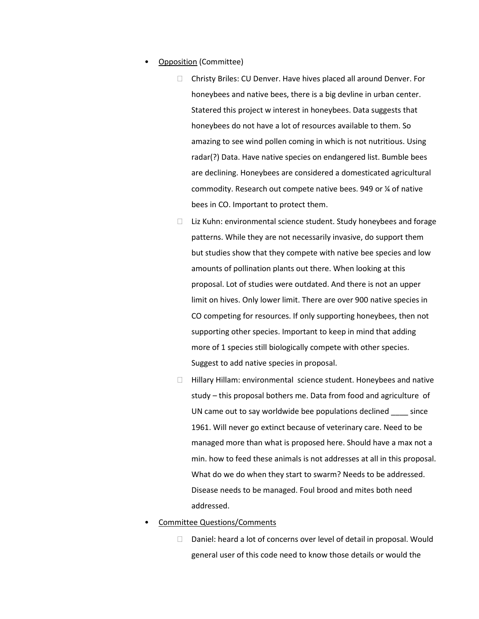- Opposition (Committee)
	- Christy Briles: CU Denver. Have hives placed all around Denver. For honeybees and native bees, there is a big devline in urban center. Statered this project w interest in honeybees. Data suggests that honeybees do not have a lot of resources available to them. So amazing to see wind pollen coming in which is not nutritious. Using radar(?) Data. Have native species on endangered list. Bumble bees are declining. Honeybees are considered a domesticated agricultural commodity. Research out compete native bees. 949 or ¼ of native bees in CO. Important to protect them.
	- $\Box$  Liz Kuhn: environmental science student. Study honeybees and forage patterns. While they are not necessarily invasive, do support them but studies show that they compete with native bee species and low amounts of pollination plants out there. When looking at this proposal. Lot of studies were outdated. And there is not an upper limit on hives. Only lower limit. There are over 900 native species in CO competing for resources. If only supporting honeybees, then not supporting other species. Important to keep in mind that adding more of 1 species still biologically compete with other species. Suggest to add native species in proposal.
	- $\Box$  Hillary Hillam: environmental science student. Honeybees and native study – this proposal bothers me. Data from food and agriculture of UN came out to say worldwide bee populations declined \_\_\_\_ since 1961. Will never go extinct because of veterinary care. Need to be managed more than what is proposed here. Should have a max not a min. how to feed these animals is not addresses at all in this proposal. What do we do when they start to swarm? Needs to be addressed. Disease needs to be managed. Foul brood and mites both need addressed.
- Committee Questions/Comments
	- $\Box$  Daniel: heard a lot of concerns over level of detail in proposal. Would general user of this code need to know those details or would the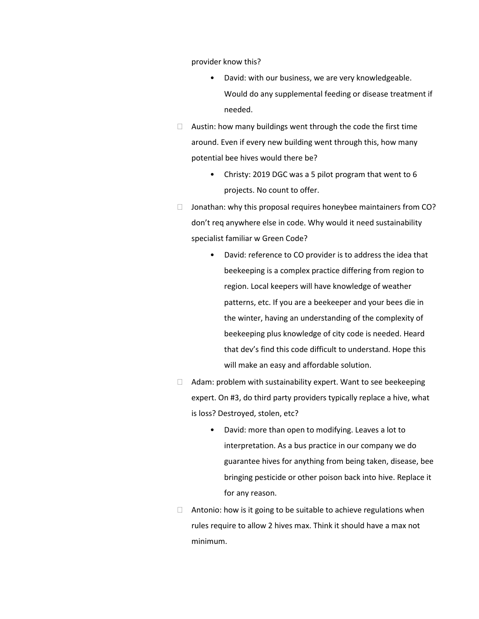provider know this?

- David: with our business, we are very knowledgeable. Would do any supplemental feeding or disease treatment if needed.
- $\Box$  Austin: how many buildings went through the code the first time around. Even if every new building went through this, how many potential bee hives would there be?
	- Christy: 2019 DGC was a 5 pilot program that went to 6 projects. No count to offer.
- $\Box$  Jonathan: why this proposal requires honeybee maintainers from CO? don't req anywhere else in code. Why would it need sustainability specialist familiar w Green Code?
	- David: reference to CO provider is to address the idea that beekeeping is a complex practice differing from region to region. Local keepers will have knowledge of weather patterns, etc. If you are a beekeeper and your bees die in the winter, having an understanding of the complexity of beekeeping plus knowledge of city code is needed. Heard that dev's find this code difficult to understand. Hope this will make an easy and affordable solution.
- $\Box$  Adam: problem with sustainability expert. Want to see beekeeping expert. On #3, do third party providers typically replace a hive, what is loss? Destroyed, stolen, etc?
	- David: more than open to modifying. Leaves a lot to interpretation. As a bus practice in our company we do guarantee hives for anything from being taken, disease, bee bringing pesticide or other poison back into hive. Replace it for any reason.
- $\Box$  Antonio: how is it going to be suitable to achieve regulations when rules require to allow 2 hives max. Think it should have a max not minimum.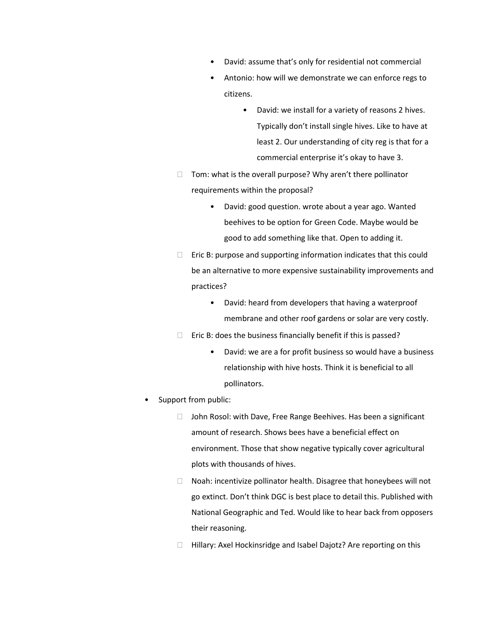- David: assume that's only for residential not commercial
- Antonio: how will we demonstrate we can enforce regs to citizens.
	- David: we install for a variety of reasons 2 hives. Typically don't install single hives. Like to have at least 2. Our understanding of city reg is that for a commercial enterprise it's okay to have 3.
- $\Box$  Tom: what is the overall purpose? Why aren't there pollinator requirements within the proposal?
	- David: good question. wrote about a year ago. Wanted beehives to be option for Green Code. Maybe would be good to add something like that. Open to adding it.
- $\Box$  Eric B: purpose and supporting information indicates that this could be an alternative to more expensive sustainability improvements and practices?
	- David: heard from developers that having a waterproof membrane and other roof gardens or solar are very costly.
- $\Box$  Eric B: does the business financially benefit if this is passed?
	- David: we are a for profit business so would have a business relationship with hive hosts. Think it is beneficial to all pollinators.
- Support from public:
	- □ John Rosol: with Dave, Free Range Beehives. Has been a significant amount of research. Shows bees have a beneficial effect on environment. Those that show negative typically cover agricultural plots with thousands of hives.
	- $\Box$  Noah: incentivize pollinator health. Disagree that honeybees will not go extinct. Don't think DGC is best place to detail this. Published with National Geographic and Ted. Would like to hear back from opposers their reasoning.
	- □ Hillary: Axel Hockinsridge and Isabel Dajotz? Are reporting on this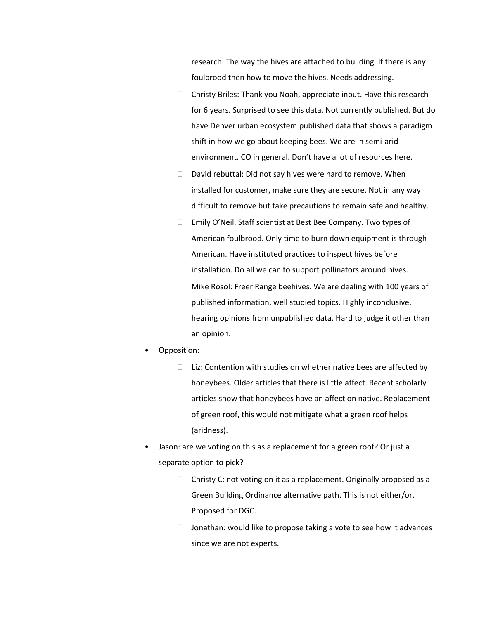research. The way the hives are attached to building. If there is any foulbrood then how to move the hives. Needs addressing.

- $\Box$  Christy Briles: Thank you Noah, appreciate input. Have this research for 6 years. Surprised to see this data. Not currently published. But do have Denver urban ecosystem published data that shows a paradigm shift in how we go about keeping bees. We are in semi-arid environment. CO in general. Don't have a lot of resources here.
- $\Box$  David rebuttal: Did not say hives were hard to remove. When installed for customer, make sure they are secure. Not in any way difficult to remove but take precautions to remain safe and healthy.
- □ Emily O'Neil. Staff scientist at Best Bee Company. Two types of American foulbrood. Only time to burn down equipment is through American. Have instituted practices to inspect hives before installation. Do all we can to support pollinators around hives.
- $\Box$  Mike Rosol: Freer Range beehives. We are dealing with 100 years of published information, well studied topics. Highly inconclusive, hearing opinions from unpublished data. Hard to judge it other than an opinion.
- Opposition:
	- $\Box$  Liz: Contention with studies on whether native bees are affected by honeybees. Older articles that there is little affect. Recent scholarly articles show that honeybees have an affect on native. Replacement of green roof, this would not mitigate what a green roof helps (aridness).
- Jason: are we voting on this as a replacement for a green roof? Or just a separate option to pick?
	- $\Box$  Christy C: not voting on it as a replacement. Originally proposed as a Green Building Ordinance alternative path. This is not either/or. Proposed for DGC.
	- $\Box$  Jonathan: would like to propose taking a vote to see how it advances since we are not experts.